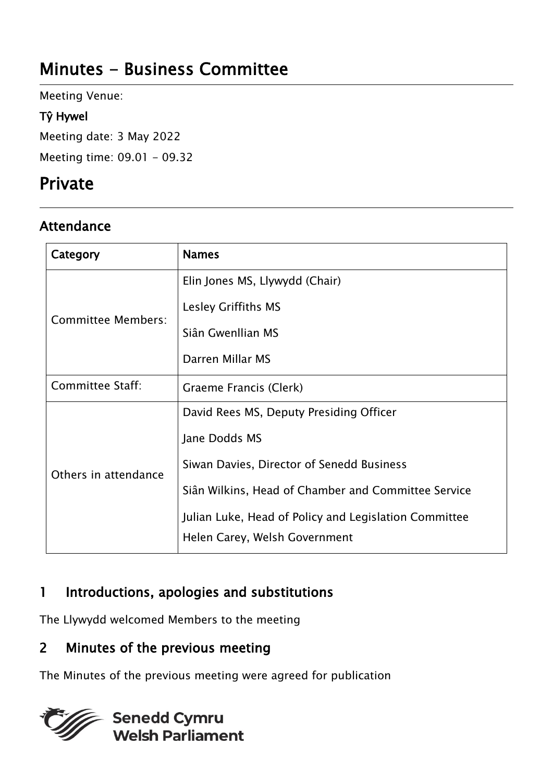# Minutes - Business Committee

Meeting Venue:

### Tŷ Hywel

Meeting date: 3 May 2022

Meeting time: 09.01 - 09.32

# Private

## **Attendance**

| Category             | <b>Names</b>                                          |
|----------------------|-------------------------------------------------------|
| Committee Members:   | Elin Jones MS, Llywydd (Chair)                        |
|                      | Lesley Griffiths MS                                   |
|                      | Siân Gwenllian MS                                     |
|                      | Darren Millar MS                                      |
| Committee Staff:     | Graeme Francis (Clerk)                                |
| Others in attendance | David Rees MS, Deputy Presiding Officer               |
|                      | Jane Dodds MS                                         |
|                      | Siwan Davies, Director of Senedd Business             |
|                      | Siân Wilkins, Head of Chamber and Committee Service   |
|                      | Julian Luke, Head of Policy and Legislation Committee |
|                      | Helen Carey, Welsh Government                         |

## 1 Introductions, apologies and substitutions

The Llywydd welcomed Members to the meeting

## 2 Minutes of the previous meeting

The Minutes of the previous meeting were agreed for publication

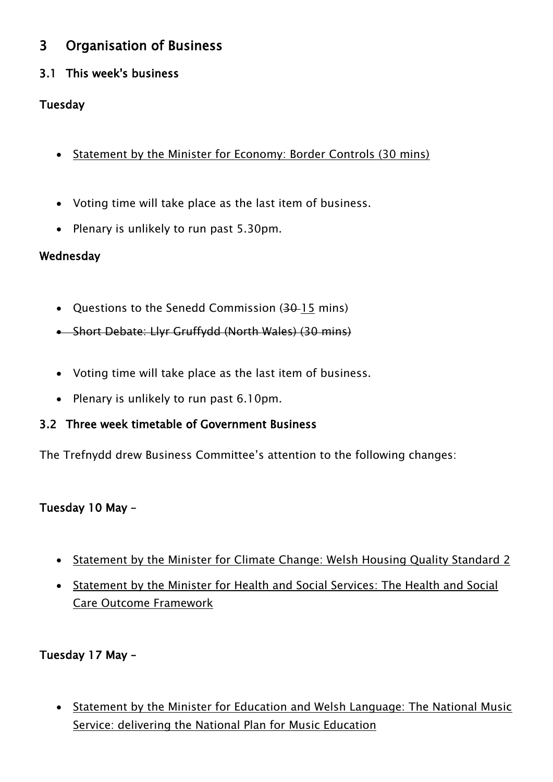## 3 Organisation of Business

### 3.1 This week's business

### Tuesday

- Statement by the Minister for Economy: Border Controls (30 mins)
- Voting time will take place as the last item of business.
- Plenary is unlikely to run past 5.30pm.

#### Wednesday

- Questions to the Senedd Commission (30–15 mins)
- Short Debate: Llyr Gruffydd (North Wales) (30 mins)
- Voting time will take place as the last item of business.
- Plenary is unlikely to run past 6.10pm.

#### 3.2 Three week timetable of Government Business

The Trefnydd drew Business Committee's attention to the following changes:

#### Tuesday 10 May –

- Statement by the Minister for Climate Change: Welsh Housing Quality Standard 2
- Statement by the Minister for Health and Social Services: The Health and Social Care Outcome Framework

#### Tuesday 17 May –

• Statement by the Minister for Education and Welsh Language: The National Music Service: delivering the National Plan for Music Education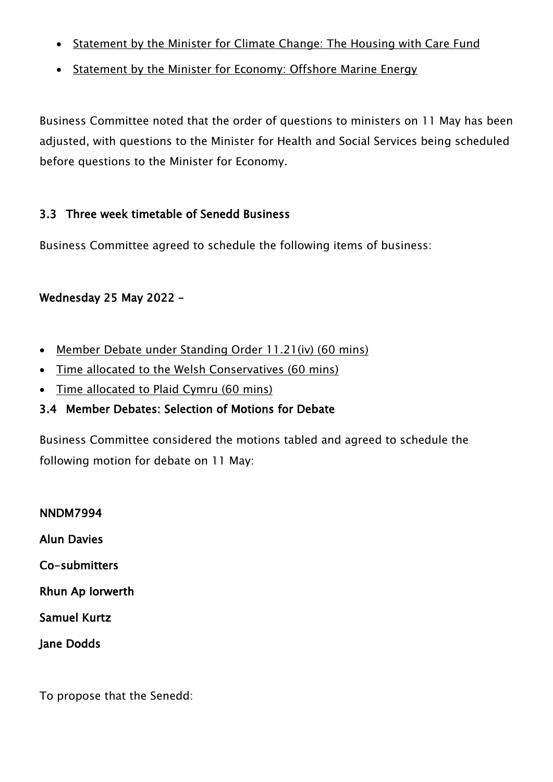- Statement by the Minister for Climate Change: The Housing with Care Fund
- Statement by the Minister for Economy: Offshore Marine Energy

Business Committee noted that the order of questions to ministers on 11 May has been adjusted, with questions to the Minister for Health and Social Services being scheduled before questions to the Minister for Economy.

#### 3.3 Three week timetable of Senedd Business

Business Committee agreed to schedule the following items of business:

### Wednesday 25 May 2022 –

- Member Debate under Standing Order 11.21(iv) (60 mins)
- Time allocated to the Welsh Conservatives (60 mins)
- Time allocated to Plaid Cymru (60 mins)

#### 3.4 Member Debates: Selection of Motions for Debate

Business Committee considered the motions tabled and agreed to schedule the following motion for debate on 11 May:

NNDM7994 Alun Davies Co-submitters Rhun Ap Iorwerth Samuel Kurtz Jane Dodds

To propose that the Senedd: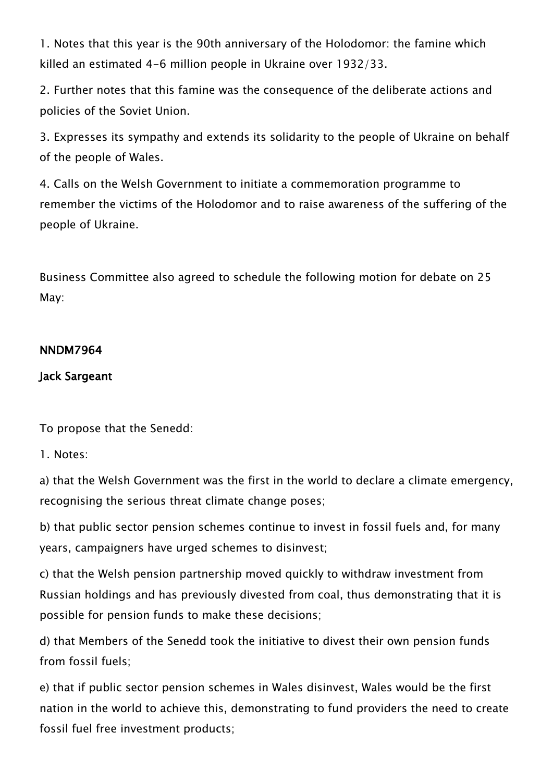1. Notes that this year is the 90th anniversary of the Holodomor: the famine which killed an estimated 4-6 million people in Ukraine over 1932/33.

2. Further notes that this famine was the consequence of the deliberate actions and policies of the Soviet Union.

3. Expresses its sympathy and extends its solidarity to the people of Ukraine on behalf of the people of Wales.

4. Calls on the Welsh Government to initiate a commemoration programme to remember the victims of the Holodomor and to raise awareness of the suffering of the people of Ukraine.

Business Committee also agreed to schedule the following motion for debate on 25 May:

#### NNDM7964

#### Jack Sargeant

To propose that the Senedd:

1. Notes:

a) that the Welsh Government was the first in the world to declare a climate emergency, recognising the serious threat climate change poses;

b) that public sector pension schemes continue to invest in fossil fuels and, for many years, campaigners have urged schemes to disinvest;

c) that the Welsh pension partnership moved quickly to withdraw investment from Russian holdings and has previously divested from coal, thus demonstrating that it is possible for pension funds to make these decisions;

d) that Members of the Senedd took the initiative to divest their own pension funds from fossil fuels;

e) that if public sector pension schemes in Wales disinvest, Wales would be the first nation in the world to achieve this, demonstrating to fund providers the need to create fossil fuel free investment products;